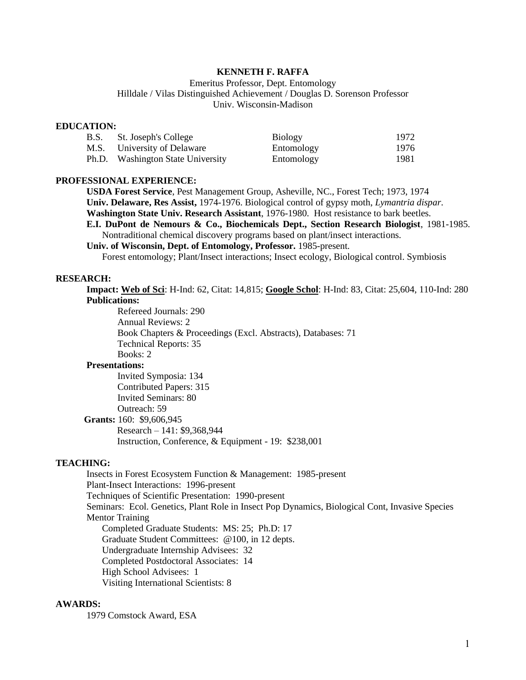#### **KENNETH F. RAFFA**

Emeritus Professor, Dept. Entomology Hilldale / Vilas Distinguished Achievement / Douglas D. Sorenson Professor Univ. Wisconsin-Madison

#### **EDUCATION:**

| B.S. | St. Joseph's College              | <b>Biology</b> | 1972 |
|------|-----------------------------------|----------------|------|
|      | M.S. University of Delaware       | Entomology     | 1976 |
|      | Ph.D. Washington State University | Entomology     | 1981 |

### **PROFESSIONAL EXPERIENCE:**

**USDA Forest Service**, Pest Management Group, Asheville, NC., Forest Tech; 1973, 1974 **Univ. Delaware, Res Assist,** 1974-1976. Biological control of gypsy moth, *Lymantria dispar*. **Washington State Univ. Research Assistant**, 1976-1980. Host resistance to bark beetles*.* **E.I. DuPont de Nemours & Co., Biochemicals Dept., Section Research Biologist**, 1981-1985. Nontraditional chemical discovery programs based on plant/insect interactions.

**Univ. of Wisconsin, Dept. of Entomology, Professor.** 1985-present.

Forest entomology; Plant/Insect interactions; Insect ecology, Biological control. Symbiosis

# **RESEARCH:**

**Impact: Web of Sci**: H-Ind: 62, Citat: 14,815; **Google Schol**: H-Ind: 83, Citat: 25,604, 110-Ind: 280 **Publications:**

 Refereed Journals: 290 Annual Reviews: 2 Book Chapters & Proceedings (Excl. Abstracts), Databases: 71 Technical Reports: 35 Books: 2

### **Presentations:**

Invited Symposia: 134 Contributed Papers: 315 Invited Seminars: 80 Outreach: 59  **Grants:** 160: \$9,606,945 Research – 141: \$9,368,944 Instruction, Conference, & Equipment - 19: \$238,001

# **TEACHING:**

Insects in Forest Ecosystem Function & Management: 1985-present Plant-Insect Interactions: 1996-present Techniques of Scientific Presentation: 1990-present Seminars: Ecol. Genetics, Plant Role in Insect Pop Dynamics, Biological Cont, Invasive Species Mentor Training Completed Graduate Students: MS: 25; Ph.D: 17 Graduate Student Committees: @100, in 12 depts. Undergraduate Internship Advisees: 32 Completed Postdoctoral Associates: 14 High School Advisees: 1 Visiting International Scientists: 8

# **AWARDS:**

1979 Comstock Award, ESA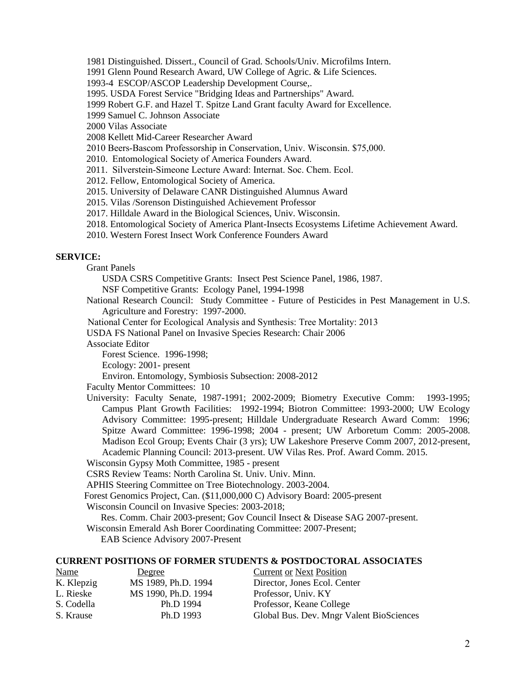1981 Distinguished. Dissert., Council of Grad. Schools/Univ. Microfilms Intern.

1991 Glenn Pound Research Award, UW College of Agric. & Life Sciences.

1993-4 ESCOP/ASCOP Leadership Development Course,.

1995. USDA Forest Service "Bridging Ideas and Partnerships" Award.

1999 Robert G.F. and Hazel T. Spitze Land Grant faculty Award for Excellence.

1999 Samuel C. Johnson Associate

2000 Vilas Associate

2008 Kellett Mid-Career Researcher Award

2010 Beers-Bascom Professorship in Conservation, Univ. Wisconsin. \$75,000.

2010. Entomological Society of America Founders Award.

2011. Silverstein-Simeone Lecture Award: Internat. Soc. Chem. Ecol.

2012. Fellow, Entomological Society of America.

2015. University of Delaware CANR Distinguished Alumnus Award

2015. Vilas /Sorenson Distinguished Achievement Professor

2017. Hilldale Award in the Biological Sciences, Univ. Wisconsin.

2018. Entomological Society of America Plant-Insects Ecosystems Lifetime Achievement Award.

2010. Western Forest Insect Work Conference Founders Award

# **SERVICE:**

Grant Panels

USDA CSRS Competitive Grants: Insect Pest Science Panel, 1986, 1987.

NSF Competitive Grants: Ecology Panel, 1994-1998

National Research Council: Study Committee - Future of Pesticides in Pest Management in U.S. Agriculture and Forestry: 1997-2000.

National Center for Ecological Analysis and Synthesis: Tree Mortality: 2013

USDA FS National Panel on Invasive Species Research: Chair 2006

Associate Editor

Forest Science. 1996-1998;

Ecology: 2001- present

Environ. Entomology, Symbiosis Subsection: 2008-2012

Faculty Mentor Committees: 10

University: Faculty Senate, 1987-1991; 2002-2009; Biometry Executive Comm: 1993-1995; Campus Plant Growth Facilities: 1992-1994; Biotron Committee: 1993-2000; UW Ecology Advisory Committee: 1995-present; Hilldale Undergraduate Research Award Comm: 1996; Spitze Award Committee: 1996-1998; 2004 - present; UW Arboretum Comm: 2005-2008. Madison Ecol Group; Events Chair (3 yrs); UW Lakeshore Preserve Comm 2007, 2012-present, Academic Planning Council: 2013-present. UW Vilas Res. Prof. Award Comm. 2015.

Wisconsin Gypsy Moth Committee, 1985 - present

CSRS Review Teams: North Carolina St. Univ. Univ. Minn.

APHIS Steering Committee on Tree Biotechnology. 2003-2004.

Forest Genomics Project, Can. (\$11,000,000 C) Advisory Board: 2005-present

Wisconsin Council on Invasive Species: 2003-2018;

Res. Comm. Chair 2003-present; Gov Council Insect & Disease SAG 2007-present.

Wisconsin Emerald Ash Borer Coordinating Committee: 2007-Present;

EAB Science Advisory 2007-Present

## **CURRENT POSITIONS OF FORMER STUDENTS & POSTDOCTORAL ASSOCIATES**

| <b>Name</b> | Degree              | <b>Current or Next Position</b>          |
|-------------|---------------------|------------------------------------------|
| K. Klepzig  | MS 1989, Ph.D. 1994 | Director, Jones Ecol. Center             |
| L. Rieske   | MS 1990, Ph.D. 1994 | Professor, Univ. KY                      |
| S. Codella  | Ph.D 1994           | Professor, Keane College                 |
| S. Krause   | Ph.D 1993           | Global Bus. Dev. Mngr Valent BioSciences |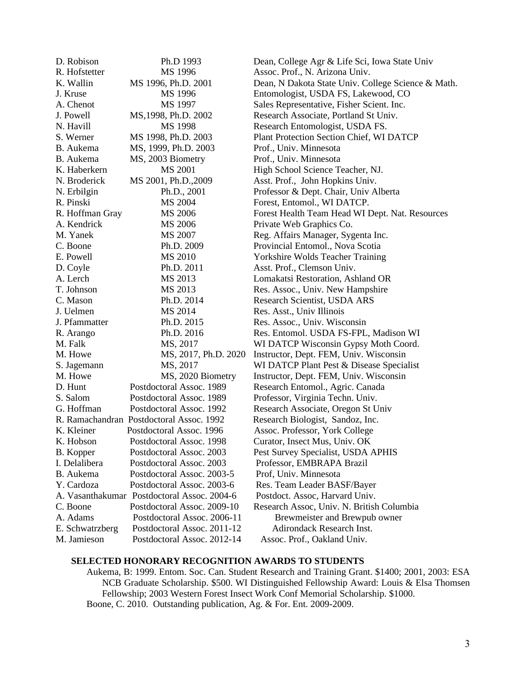| D. Robison      | Ph.D 1993                                   | Dean, College Agr & Life Sci, Iowa State Univ      |
|-----------------|---------------------------------------------|----------------------------------------------------|
| R. Hofstetter   | MS 1996                                     | Assoc. Prof., N. Arizona Univ.                     |
| K. Wallin       | MS 1996, Ph.D. 2001                         | Dean, N Dakota State Univ. College Science & Math. |
| J. Kruse        | MS 1996                                     | Entomologist, USDA FS, Lakewood, CO                |
| A. Chenot       | MS 1997                                     | Sales Representative, Fisher Scient. Inc.          |
| J. Powell       | MS, 1998, Ph.D. 2002                        | Research Associate, Portland St Univ.              |
| N. Havill       | MS 1998                                     | Research Entomologist, USDA FS.                    |
| S. Werner       | MS 1998, Ph.D. 2003                         | Plant Protection Section Chief, WI DATCP           |
| B. Aukema       | MS, 1999, Ph.D. 2003                        | Prof., Univ. Minnesota                             |
| B. Aukema       | MS, 2003 Biometry                           | Prof., Univ. Minnesota                             |
| K. Haberkern    | <b>MS 2001</b>                              | High School Science Teacher, NJ.                   |
| N. Broderick    | MS 2001, Ph.D., 2009                        | Asst. Prof., John Hopkins Univ.                    |
| N. Erbilgin     | Ph.D., 2001                                 | Professor & Dept. Chair, Univ Alberta              |
| R. Pinski       | MS 2004                                     | Forest, Entomol., WI DATCP.                        |
| R. Hoffman Gray | MS 2006                                     | Forest Health Team Head WI Dept. Nat. Resources    |
| A. Kendrick     | MS 2006                                     | Private Web Graphics Co.                           |
| M. Yanek        | MS 2007                                     | Reg. Affairs Manager, Sygenta Inc.                 |
| C. Boone        | Ph.D. 2009                                  | Provincial Entomol., Nova Scotia                   |
| E. Powell       | MS 2010                                     | <b>Yorkshire Wolds Teacher Training</b>            |
| D. Coyle        | Ph.D. 2011                                  | Asst. Prof., Clemson Univ.                         |
| A. Lerch        | MS 2013                                     | Lomakatsi Restoration, Ashland OR                  |
| T. Johnson      | MS 2013                                     | Res. Assoc., Univ. New Hampshire                   |
| C. Mason        | Ph.D. 2014                                  | Research Scientist, USDA ARS                       |
| J. Uelmen       | MS 2014                                     | Res. Asst., Univ Illinois                          |
| J. Pfammatter   | Ph.D. 2015                                  | Res. Assoc., Univ. Wisconsin                       |
| R. Arango       | Ph.D. 2016                                  | Res. Entomol. USDA FS-FPL, Madison WI              |
| M. Falk         | MS, 2017                                    | WI DATCP Wisconsin Gypsy Moth Coord.               |
| M. Howe         | MS, 2017, Ph.D. 2020                        | Instructor, Dept. FEM, Univ. Wisconsin             |
| S. Jagemann     | MS, 2017                                    | WI DATCP Plant Pest & Disease Specialist           |
| M. Howe         | MS, 2020 Biometry                           | Instructor, Dept. FEM, Univ. Wisconsin             |
| D. Hunt         | Postdoctoral Assoc. 1989                    | Research Entomol., Agric. Canada                   |
| S. Salom        | Postdoctoral Assoc. 1989                    | Professor, Virginia Techn. Univ.                   |
| G. Hoffman      | Postdoctoral Assoc. 1992                    | Research Associate, Oregon St Univ                 |
|                 | R. Ramachandran Postdoctoral Assoc. 1992    | Research Biologist, Sandoz, Inc.                   |
| K. Kleiner      | Postdoctoral Assoc. 1996                    | Assoc. Professor, York College                     |
| K. Hobson       | Postdoctoral Assoc. 1998                    | Curator, Insect Mus, Univ. OK                      |
| B. Kopper       | Postdoctoral Assoc. 2003                    | Pest Survey Specialist, USDA APHIS                 |
| I. Delalibera   | Postdoctoral Assoc. 2003                    | Professor, EMBRAPA Brazil                          |
| B. Aukema       | Postdoctoral Assoc. 2003-5                  | Prof, Univ. Minnesota                              |
| Y. Cardoza      | Postdoctoral Assoc. 2003-6                  | Res. Team Leader BASF/Bayer                        |
|                 | A. Vasanthakumar Postdoctoral Assoc. 2004-6 | Postdoct. Assoc, Harvard Univ.                     |
| C. Boone        | Postdoctoral Assoc. 2009-10                 | Research Assoc, Univ. N. British Columbia          |
| A. Adams        | Postdoctoral Assoc. 2006-11                 | Brewmeister and Brewpub owner                      |
| E. Schwatrzberg | Postdoctoral Assoc. 2011-12                 | Adirondack Research Inst.                          |
| M. Jamieson     | Postdoctoral Assoc. 2012-14                 | Assoc. Prof., Oakland Univ.                        |

# **SELECTED HONORARY RECOGNITION AWARDS TO STUDENTS**

Aukema, B: 1999. Entom. Soc. Can. Student Research and Training Grant. \$1400; 2001, 2003: ESA NCB Graduate Scholarship. \$500. WI Distinguished Fellowship Award: Louis & Elsa Thomsen Fellowship; 2003 Western Forest Insect Work Conf Memorial Scholarship. \$1000. Boone, C. 2010. Outstanding publication, Ag. & For. Ent. 2009-2009.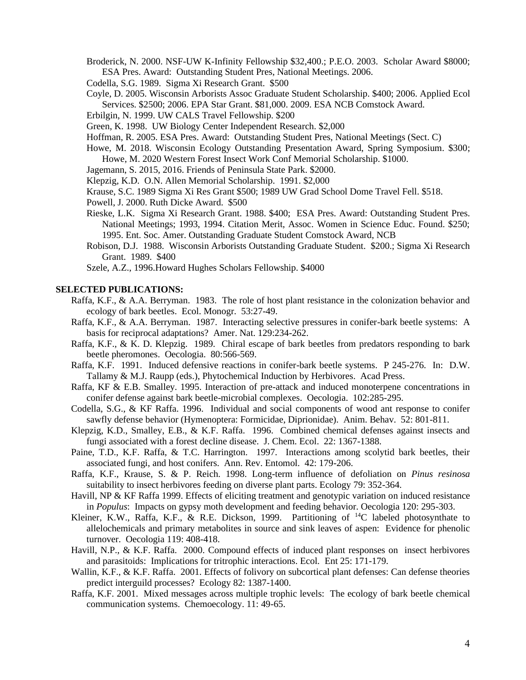- Broderick, N. 2000. NSF-UW K-Infinity Fellowship \$32,400.; P.E.O. 2003. Scholar Award \$8000; ESA Pres. Award: Outstanding Student Pres, National Meetings. 2006.
- Codella, S.G. 1989. Sigma Xi Research Grant. \$500
- Coyle, D. 2005. Wisconsin Arborists Assoc Graduate Student Scholarship. \$400; 2006. Applied Ecol Services. \$2500; 2006. EPA Star Grant. \$81,000. 2009. ESA NCB Comstock Award.
- Erbilgin, N. 1999. UW CALS Travel Fellowship. \$200
- Green, K. 1998. UW Biology Center Independent Research. \$2,000
- Hoffman, R. 2005. ESA Pres. Award: Outstanding Student Pres, National Meetings (Sect. C)
- Howe, M. 2018. Wisconsin Ecology Outstanding Presentation Award, Spring Symposium. \$300; Howe, M. 2020 Western Forest Insect Work Conf Memorial Scholarship. \$1000.
- Jagemann, S. 2015, 2016. Friends of Peninsula State Park. \$2000.
- Klepzig, K.D. O.N. Allen Memorial Scholarship. 1991. \$2,000
- Krause, S.C. 1989 Sigma Xi Res Grant \$500; 1989 UW Grad School Dome Travel Fell. \$518.
- Powell, J. 2000. Ruth Dicke Award. \$500
- Rieske, L.K. Sigma Xi Research Grant. 1988. \$400; ESA Pres. Award: Outstanding Student Pres. National Meetings; 1993, 1994. Citation Merit, Assoc. Women in Science Educ. Found. \$250; 1995. Ent. Soc. Amer. Outstanding Graduate Student Comstock Award, NCB
- Robison, D.J. 1988. Wisconsin Arborists Outstanding Graduate Student. \$200.; Sigma Xi Research Grant. 1989. \$400

Szele, A.Z., 1996.Howard Hughes Scholars Fellowship. \$4000

#### **SELECTED PUBLICATIONS:**

- Raffa, K.F., & A.A. Berryman. 1983. The role of host plant resistance in the colonization behavior and ecology of bark beetles. Ecol. Monogr. 53:27-49.
- Raffa, K.F., & A.A. Berryman. 1987. Interacting selective pressures in conifer-bark beetle systems: A basis for reciprocal adaptations? Amer. Nat. 129:234-262.
- Raffa, K.F., & K. D. Klepzig. 1989. Chiral escape of bark beetles from predators responding to bark beetle pheromones. Oecologia. 80:566-569.
- Raffa, K.F. 1991. Induced defensive reactions in conifer-bark beetle systems. P 245-276. In: D.W. Tallamy & M.J. Raupp (eds.), Phytochemical Induction by Herbivores. Acad Press.
- Raffa, KF & E.B. Smalley. 1995. Interaction of pre-attack and induced monoterpene concentrations in conifer defense against bark beetle-microbial complexes. Oecologia. 102:285-295.
- Codella, S.G., & KF Raffa. 1996. Individual and social components of wood ant response to conifer sawfly defense behavior (Hymenoptera: Formicidae, Diprionidae). Anim. Behav. 52: 801-811.
- Klepzig, K.D., Smalley, E.B., & K.F. Raffa. 1996. Combined chemical defenses against insects and fungi associated with a forest decline disease. J. Chem. Ecol. 22: 1367-1388.
- Paine, T.D., K.F. Raffa, & T.C. Harrington. 1997. Interactions among scolytid bark beetles, their associated fungi, and host conifers. Ann. Rev. Entomol. 42: 179-206.
- Raffa, K.F., Krause, S. & P. Reich. 1998. Long-term influence of defoliation on *Pinus resinosa* suitability to insect herbivores feeding on diverse plant parts. Ecology 79: 352-364.
- Havill, NP & KF Raffa 1999. Effects of eliciting treatment and genotypic variation on induced resistance in *Populus*: Impacts on gypsy moth development and feeding behavior. Oecologia 120: 295-303.
- Kleiner, K.W., Raffa, K.F., & R.E. Dickson, 1999. Partitioning of  $^{14}C$  labeled photosynthate to allelochemicals and primary metabolites in source and sink leaves of aspen: Evidence for phenolic turnover. Oecologia 119: 408-418.
- Havill, N.P., & K.F. Raffa. 2000. Compound effects of induced plant responses on insect herbivores and parasitoids: Implications for tritrophic interactions. Ecol. Ent 25: 171-179.
- Wallin, K.F., & K.F. Raffa. 2001. Effects of folivory on subcortical plant defenses: Can defense theories predict interguild processes? Ecology 82: 1387-1400.
- Raffa, K.F. 2001. Mixed messages across multiple trophic levels: The ecology of bark beetle chemical communication systems. Chemoecology. 11: 49-65.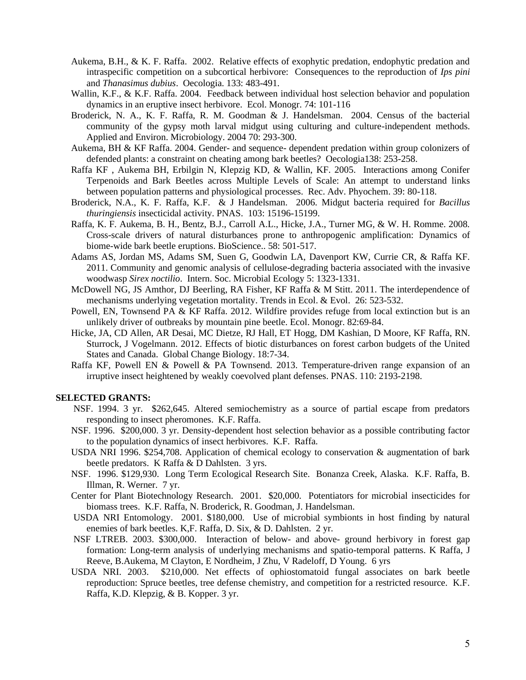- Aukema, B.H., & K. F. Raffa. 2002. Relative effects of exophytic predation, endophytic predation and intraspecific competition on a subcortical herbivore: Consequences to the reproduction of *Ips pini* and *Thanasimus dubius*. Oecologia. 133: 483-491.
- Wallin, K.F., & K.F. Raffa. 2004. Feedback between individual host selection behavior and population dynamics in an eruptive insect herbivore. Ecol. Monogr. 74: 101-116
- Broderick, N. A., K. F. Raffa, R. M. Goodman & J. Handelsman. 2004. Census of the bacterial community of the gypsy moth larval midgut using culturing and culture-independent methods. Applied and Environ. Microbiology. 2004 70: 293-300.
- Aukema, BH & KF Raffa. 2004. Gender- and sequence- dependent predation within group colonizers of defended plants: a constraint on cheating among bark beetles? Oecologia138: 253-258.
- Raffa KF , Aukema BH, Erbilgin N, Klepzig KD, & Wallin, KF. 2005. Interactions among Conifer Terpenoids and Bark Beetles across Multiple Levels of Scale: An attempt to understand links between population patterns and physiological processes. Rec. Adv. Phyochem. 39: 80-118.
- Broderick, N.A., K. F. Raffa, K.F. & J Handelsman. 2006. Midgut bacteria required for *Bacillus thuringiensis* insecticidal activity. PNAS. 103: 15196-15199.
- Raffa, K. F. Aukema, B. H., Bentz, B.J., Carroll A.L., Hicke, J.A., Turner MG, & W. H. Romme. 2008. Cross-scale drivers of natural disturbances prone to anthropogenic amplification: Dynamics of biome-wide bark beetle eruptions. BioScience.. 58: 501-517.
- Adams AS, Jordan MS, Adams SM, Suen G, Goodwin LA, Davenport KW, Currie CR, & Raffa KF. 2011. Community and genomic analysis of cellulose-degrading bacteria associated with the invasive woodwasp *Sirex noctilio*. Intern. Soc. Microbial Ecology 5: 1323-1331.
- McDowell NG, JS Amthor, DJ Beerling, RA Fisher, KF Raffa & M Stitt. 2011. The interdependence of mechanisms underlying vegetation mortality. Trends in Ecol. & Evol. 26: 523-532.
- Powell, EN, Townsend PA & KF Raffa. 2012. Wildfire provides refuge from local extinction but is an unlikely driver of outbreaks by mountain pine beetle. Ecol. Monogr. 82:69-84.
- Hicke, JA, CD Allen, AR Desai, MC Dietze, RJ Hall, ET Hogg, DM Kashian, D Moore, KF Raffa, RN. Sturrock, J Vogelmann. 2012. Effects of biotic disturbances on forest carbon budgets of the United States and Canada. Global Change Biology. 18:7-34.
- Raffa KF, Powell EN & Powell & PA Townsend. 2013. Temperature-driven range expansion of an irruptive insect heightened by weakly coevolved plant defenses. PNAS. 110: 2193-2198.

#### **SELECTED GRANTS:**

- NSF. 1994. 3 yr. \$262,645. Altered semiochemistry as a source of partial escape from predators responding to insect pheromones. K.F. Raffa.
- NSF. 1996. \$200,000. 3 yr. Density-dependent host selection behavior as a possible contributing factor to the population dynamics of insect herbivores. K.F. Raffa.
- USDA NRI 1996. \$254,708. Application of chemical ecology to conservation & augmentation of bark beetle predators. K Raffa & D Dahlsten. 3 yrs.
- NSF. 1996. \$129,930. Long Term Ecological Research Site. Bonanza Creek, Alaska. K.F. Raffa, B. Illman, R. Werner. 7 yr.
- Center for Plant Biotechnology Research. 2001. \$20,000. Potentiators for microbial insecticides for biomass trees. K.F. Raffa, N. Broderick, R. Goodman, J. Handelsman.
- USDA NRI Entomology. 2001. \$180,000. Use of microbial symbionts in host finding by natural enemies of bark beetles. K,F. Raffa, D. Six, & D. Dahlsten. 2 yr.
- NSF LTREB. 2003. \$300,000. Interaction of below- and above- ground herbivory in forest gap formation: Long-term analysis of underlying mechanisms and spatio-temporal patterns. K Raffa, J Reeve, B.Aukema, M Clayton, E Nordheim, J Zhu, V Radeloff, D Young. 6 yrs
- USDA NRI. 2003. \$210,000. Net effects of ophiostomatoid fungal associates on bark beetle reproduction: Spruce beetles, tree defense chemistry, and competition for a restricted resource. K.F. Raffa, K.D. Klepzig, & B. Kopper. 3 yr.